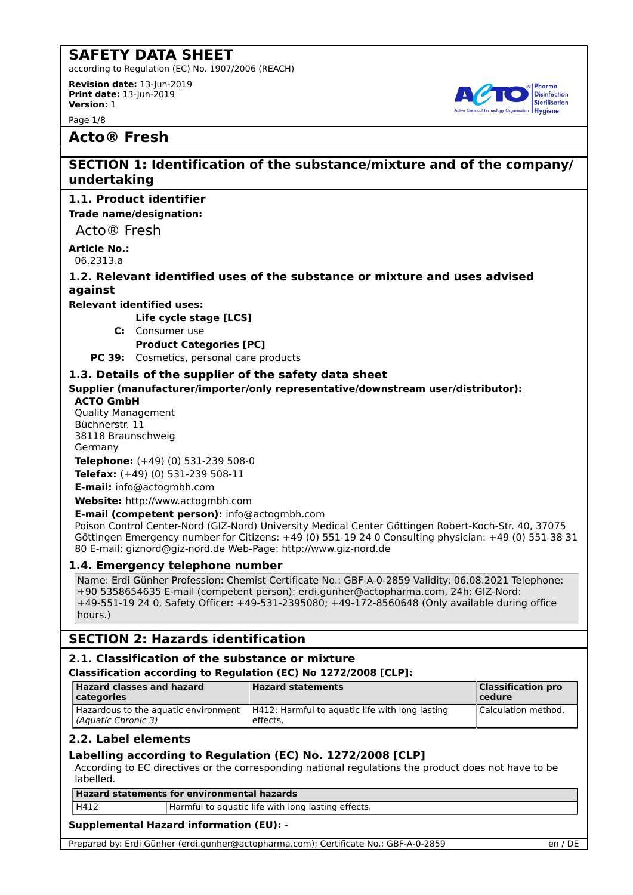according to Regulation (EC) No. 1907/2006 (REACH)

**Revision date:** 13-Jun-2019 **Print date:** 13-Jun-2019 **Version:** 1

Page 1/8



## **Acto® Fresh**

## **SECTION 1: Identification of the substance/mixture and of the company/ undertaking**

## **1.1. Product identifier**

**Trade name/designation:**

Acto® Fresh

**Article No.:** 06.2313.a

**1.2. Relevant identified uses of the substance or mixture and uses advised against**

**Relevant identified uses:**

**Life cycle stage [LCS]**

**C:** Consumer use

**Product Categories [PC]**

**PC 39:** Cosmetics, personal care products

## **1.3. Details of the supplier of the safety data sheet**

**Supplier (manufacturer/importer/only representative/downstream user/distributor):**

### **ACTO GmbH**

Quality Management Büchnerstr. 11 38118 Braunschweig Germany **Telephone:** (+49) (0) 531-239 508-0 **Telefax:** (+49) (0) 531-239 508-11

**E-mail:** info@actogmbh.com

**Website:** http://www.actogmbh.com

**E-mail (competent person):** info@actogmbh.com

Poison Control Center-Nord (GIZ-Nord) University Medical Center Göttingen Robert-Koch-Str. 40, 37075 Göttingen Emergency number for Citizens: +49 (0) 551-19 24 0 Consulting physician: +49 (0) 551-38 31 80 E-mail: giznord@giz-nord.de Web-Page: http://www.giz-nord.de

### **1.4. Emergency telephone number**

Name: Erdi Günher Profession: Chemist Certificate No.: GBF-A-0-2859 Validity: 06.08.2021 Telephone: +90 5358654635 E-mail (competent person): erdi.gunher@actopharma.com, 24h: GIZ-Nord: +49-551-19 24 0, Safety Officer: +49-531-2395080; +49-172-8560648 (Only available during office hours.)

## **SECTION 2: Hazards identification**

## **2.1. Classification of the substance or mixture**

### **Classification according to Regulation (EC) No 1272/2008 [CLP]:**

| <b>Hazard classes and hazard</b><br>  categories            | <b>Hazard statements</b>                                    | <b>Classification pro</b><br>  cedure |
|-------------------------------------------------------------|-------------------------------------------------------------|---------------------------------------|
| Hazardous to the aquatic environment<br>(Aquatic Chronic 3) | H412: Harmful to aguatic life with long lasting<br>effects. | Calculation method.                   |

## **2.2. Label elements**

## **Labelling according to Regulation (EC) No. 1272/2008 [CLP]**

According to EC directives or the corresponding national regulations the product does not have to be labelled.

**Hazard statements for environmental hazards**

H412 **Harmful to aquatic life with long lasting effects.** 

## **Supplemental Hazard information (EU):** -

Prepared by: Erdi Günher (erdi.gunher@actopharma.com); Certificate No.: GBF-A-0-2859 en / DE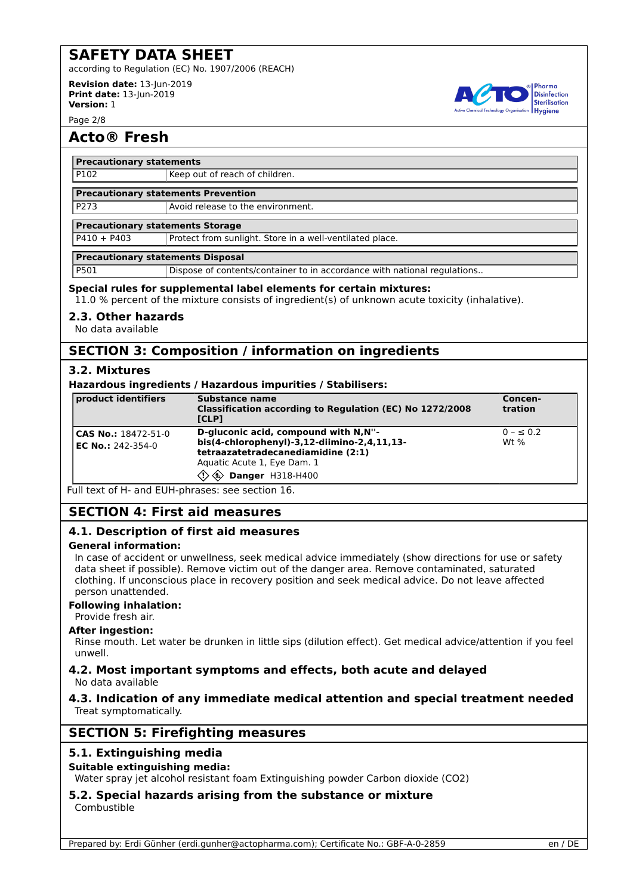according to Regulation (EC) No. 1907/2006 (REACH)

**Revision date:** 13-Jun-2019 **Print date:** 13-Jun-2019 **Version:** 1

Page 2/8

## **Acto® Fresh**

### **Precautionary statements**

P102 Keep out of reach of children.

#### **Precautionary statements Prevention**

**P273** Avoid release to the environment.

#### **Precautionary statements Storage**

P410 + P403 Protect from sunlight. Store in a well-ventilated place.

#### **Precautionary statements Disposal**

P501 Dispose of contents/container to in accordance with national regulations..

#### **Special rules for supplemental label elements for certain mixtures:**

11.0 % percent of the mixture consists of ingredient(s) of unknown acute toxicity (inhalative).

#### **2.3. Other hazards**

No data available

## **SECTION 3: Composition / information on ingredients**

### **3.2. Mixtures**

#### **Hazardous ingredients / Hazardous impurities / Stabilisers:**

| product identifiers                      | Substance name<br>Classification according to Regulation (EC) No 1272/2008<br><b>ICLP1</b>                                                                                             | Concen-<br>tration      |
|------------------------------------------|----------------------------------------------------------------------------------------------------------------------------------------------------------------------------------------|-------------------------|
| CAS No.: 18472-51-0<br>EC No.: 242-354-0 | D-gluconic acid, compound with N,N"-<br>bis(4-chlorophenyl)-3,12-diimino-2,4,11,13-<br>tetraazatetradecanediamidine (2:1)<br>Aquatic Acute 1, Eye Dam. 1<br><b>EX Danger H318-H400</b> | $0 - \le 0.2$<br>Wt $%$ |

Full text of H- and EUH-phrases: see section 16.

## **SECTION 4: First aid measures**

### **4.1. Description of first aid measures**

### **General information:**

In case of accident or unwellness, seek medical advice immediately (show directions for use or safety data sheet if possible). Remove victim out of the danger area. Remove contaminated, saturated clothing. If unconscious place in recovery position and seek medical advice. Do not leave affected person unattended.

### **Following inhalation:**

Provide fresh air.

### **After ingestion:**

Rinse mouth. Let water be drunken in little sips (dilution effect). Get medical advice/attention if you feel unwell.

### **4.2. Most important symptoms and effects, both acute and delayed** No data available

### **4.3. Indication of any immediate medical attention and special treatment needed** Treat symptomatically.

## **SECTION 5: Firefighting measures**

### **5.1. Extinguishing media**

### **Suitable extinguishing media:**

Water spray jet alcohol resistant foam Extinguishing powder Carbon dioxide (CO2)

## **5.2. Special hazards arising from the substance or mixture**

Combustible

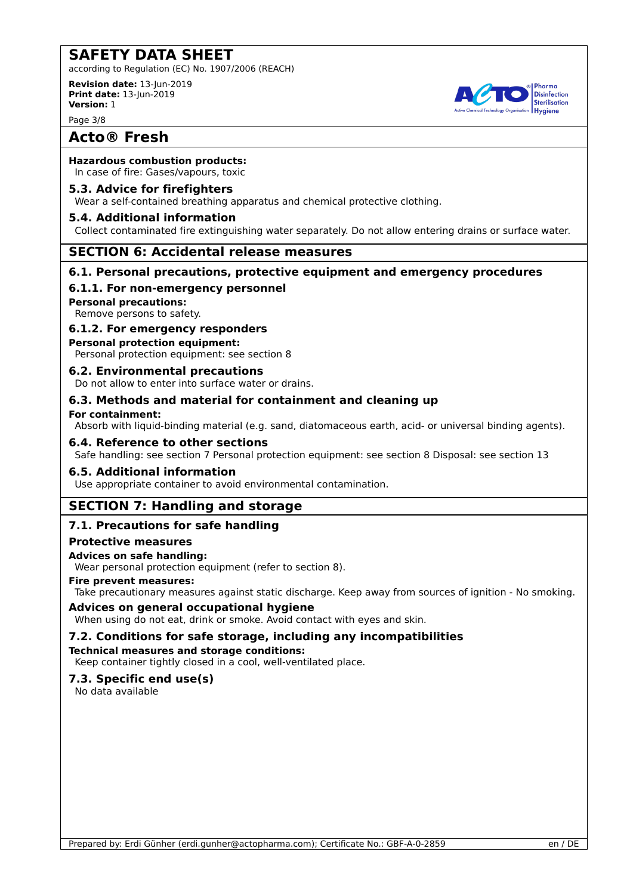according to Regulation (EC) No. 1907/2006 (REACH)

**Revision date:** 13-Jun-2019 **Print date:** 13-Jun-2019 **Version:** 1

Page 3/8

## **Acto® Fresh**

### **Hazardous combustion products:**

In case of fire: Gases/vapours, toxic

### **5.3. Advice for firefighters**

Wear a self-contained breathing apparatus and chemical protective clothing.

### **5.4. Additional information**

Collect contaminated fire extinguishing water separately. Do not allow entering drains or surface water.

### **SECTION 6: Accidental release measures**

### **6.1. Personal precautions, protective equipment and emergency procedures**

### **6.1.1. For non-emergency personnel**

**Personal precautions:**

Remove persons to safety.

### **6.1.2. For emergency responders**

**Personal protection equipment:**

Personal protection equipment: see section 8

### **6.2. Environmental precautions**

Do not allow to enter into surface water or drains.

### **6.3. Methods and material for containment and cleaning up**

### **For containment:**

Absorb with liquid-binding material (e.g. sand, diatomaceous earth, acid- or universal binding agents).

### **6.4. Reference to other sections**

Safe handling: see section 7 Personal protection equipment: see section 8 Disposal: see section 13

### **6.5. Additional information**

Use appropriate container to avoid environmental contamination.

## **SECTION 7: Handling and storage**

## **7.1. Precautions for safe handling**

### **Protective measures**

### **Advices on safe handling:**

Wear personal protection equipment (refer to section 8).

### **Fire prevent measures:**

Take precautionary measures against static discharge. Keep away from sources of ignition - No smoking.

### **Advices on general occupational hygiene**

When using do not eat, drink or smoke. Avoid contact with eyes and skin.

### **7.2. Conditions for safe storage, including any incompatibilities**

**Technical measures and storage conditions:**

## Keep container tightly closed in a cool, well-ventilated place.

## **7.3. Specific end use(s)**

No data available

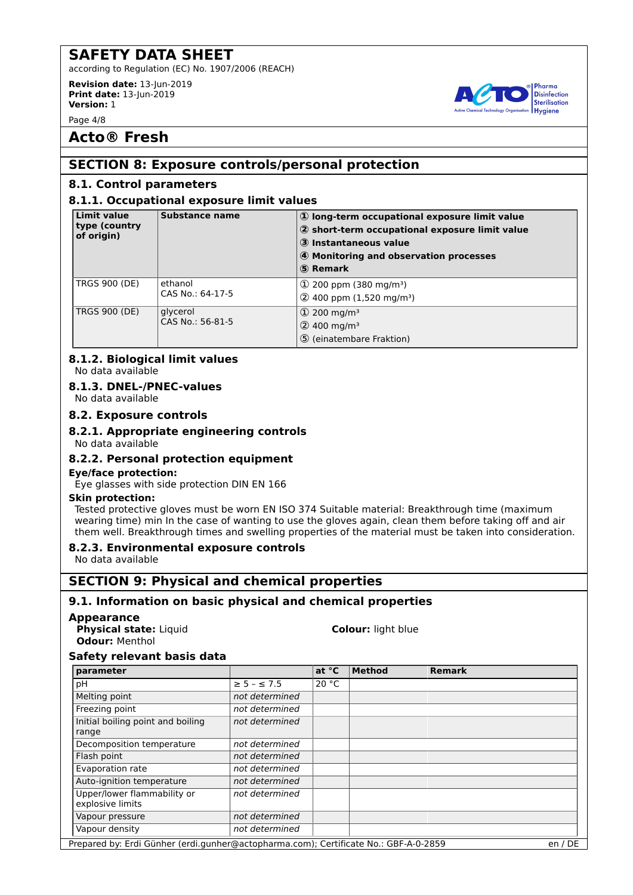according to Regulation (EC) No. 1907/2006 (REACH)

**Revision date:** 13-Jun-2019 **Print date:** 13-Jun-2019 **Version:** 1

Page 4/8

## **Acto® Fresh**

## **SECTION 8: Exposure controls/personal protection**

## **8.1. Control parameters**

### **8.1.1. Occupational exposure limit values**

| <b>Limit value</b><br>type (country<br>of origin) | Substance name               | 1) long-term occupational exposure limit value<br>2 short-term occupational exposure limit value<br>3 Instantaneous value<br>4 Monitoring and observation processes<br>5 Remark |
|---------------------------------------------------|------------------------------|---------------------------------------------------------------------------------------------------------------------------------------------------------------------------------|
| <b>TRGS 900 (DE)</b>                              | ethanol<br>CAS No.: 64-17-5  | $\Phi$ 200 ppm (380 mg/m <sup>3</sup> )<br>$(2)$ 400 ppm (1,520 mg/m <sup>3</sup> )                                                                                             |
| <b>TRGS 900 (DE)</b>                              | glycerol<br>CAS No.: 56-81-5 | $(1)$ 200 mg/m <sup>3</sup><br>$(2)$ 400 mg/m <sup>3</sup><br>5 (einatembare Fraktion)                                                                                          |

#### **8.1.2. Biological limit values** No data available

## **8.1.3. DNEL-/PNEC-values**

No data available

### **8.2. Exposure controls**

### **8.2.1. Appropriate engineering controls**

## No data available

### **8.2.2. Personal protection equipment**

### **Eye/face protection:**

Eye glasses with side protection DIN EN 166

### **Skin protection:**

Tested protective gloves must be worn EN ISO 374 Suitable material: Breakthrough time (maximum wearing time) min In the case of wanting to use the gloves again, clean them before taking off and air them well. Breakthrough times and swelling properties of the material must be taken into consideration.

## **8.2.3. Environmental exposure controls**

No data available

## **SECTION 9: Physical and chemical properties**

## **9.1. Information on basic physical and chemical properties**

### **Appearance**

**Physical state:** Liquid **Colour:** light blue **Odour:** Menthol

### **Safety relevant basis data**

| parameter                                       |                       | at $^{\circ}$ C | <b>Method</b> | <b>Remark</b> |  |
|-------------------------------------------------|-----------------------|-----------------|---------------|---------------|--|
| рH                                              | $\geq$ 5 - $\leq$ 7.5 | 20 °C           |               |               |  |
| Melting point                                   | not determined        |                 |               |               |  |
| Freezing point                                  | not determined        |                 |               |               |  |
| Initial boiling point and boiling<br>range      | not determined        |                 |               |               |  |
| Decomposition temperature                       | not determined        |                 |               |               |  |
| Flash point                                     | not determined        |                 |               |               |  |
| Evaporation rate                                | not determined        |                 |               |               |  |
| Auto-ignition temperature                       | not determined        |                 |               |               |  |
| Upper/lower flammability or<br>explosive limits | not determined        |                 |               |               |  |
| Vapour pressure                                 | not determined        |                 |               |               |  |
| Vapour density                                  | not determined        |                 |               |               |  |

Prepared by: Erdi Günher (erdi.gunher@actopharma.com); Certificate No.: GBF-A-0-2859 en / DE

Pharma **Disinfection** Sterilisation **Hygiene**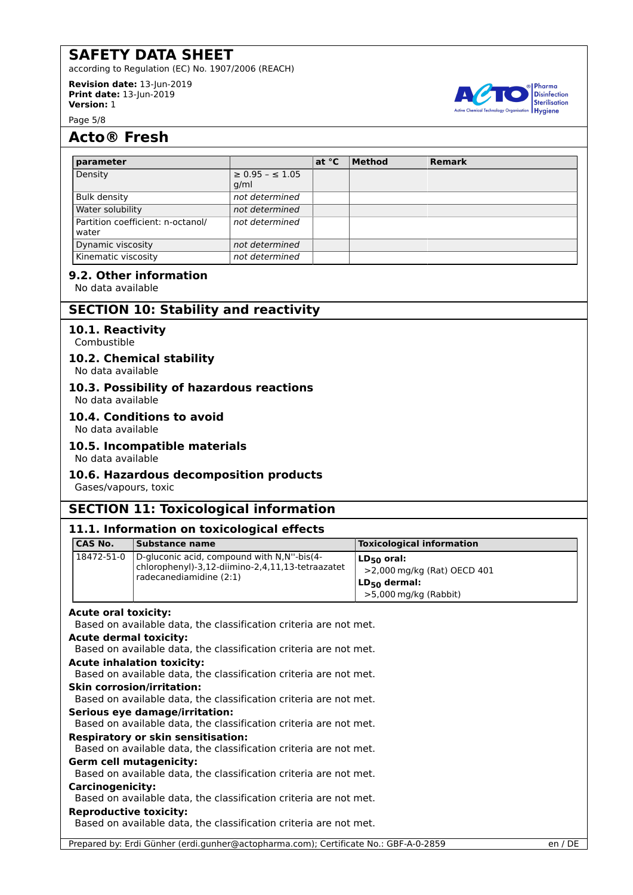according to Regulation (EC) No. 1907/2006 (REACH)

**Revision date:** 13-Jun-2019 **Print date:** 13-Jun-2019 **Version:** 1

Page 5/8

## **Acto® Fresh**

| parameter                                  |                                   | at $^{\circ}$ C | <b>Method</b> | <b>Remark</b> |
|--------------------------------------------|-----------------------------------|-----------------|---------------|---------------|
| Density                                    | $\geq$ 0.95 - $\leq$ 1.05<br>q/ml |                 |               |               |
| Bulk density                               | not determined                    |                 |               |               |
| Water solubility                           | not determined                    |                 |               |               |
| Partition coefficient: n-octanol/<br>water | not determined                    |                 |               |               |
| Dynamic viscosity                          | not determined                    |                 |               |               |
| Kinematic viscosity                        | not determined                    |                 |               |               |

### **9.2. Other information**

No data available

## **SECTION 10: Stability and reactivity**

### **10.1. Reactivity**

Combustible

### **10.2. Chemical stability**

No data available

## **10.3. Possibility of hazardous reactions**

No data available

### **10.4. Conditions to avoid**

No data available

### **10.5. Incompatible materials**

No data available

### **10.6. Hazardous decomposition products**

Gases/vapours, toxic

## **SECTION 11: Toxicological information**

### **11.1. Information on toxicological effects**

| CAS No.                       | <b>Substance name</b>                                                                                                     | <b>Toxicological information</b>                                                             |
|-------------------------------|---------------------------------------------------------------------------------------------------------------------------|----------------------------------------------------------------------------------------------|
| 18472-51-0                    | D-gluconic acid, compound with N,N"-bis(4-<br>chlorophenyl)-3,12-diimino-2,4,11,13-tetraazatet<br>radecanediamidine (2:1) | $LD_{50}$ oral:<br>>2,000 mg/kg (Rat) OECD 401<br>$LD_{50}$ dermal:<br>>5,000 mg/kg (Rabbit) |
| <b>Acute oral toxicity:</b>   |                                                                                                                           |                                                                                              |
|                               | Based on available data, the classification criteria are not met.                                                         |                                                                                              |
| <b>Acute dermal toxicity:</b> |                                                                                                                           |                                                                                              |
|                               | Based on available data, the classification criteria are not met.                                                         |                                                                                              |
|                               | <b>Acute inhalation toxicity:</b>                                                                                         |                                                                                              |
|                               | Based on available data, the classification criteria are not met.                                                         |                                                                                              |
|                               | <b>Skin corrosion/irritation:</b>                                                                                         |                                                                                              |
|                               | Based on available data, the classification criteria are not met.                                                         |                                                                                              |
|                               | Serious eye damage/irritation:                                                                                            |                                                                                              |
|                               | Based on available data, the classification criteria are not met.                                                         |                                                                                              |
|                               | <b>Respiratory or skin sensitisation:</b>                                                                                 |                                                                                              |
|                               | Based on available data, the classification criteria are not met.                                                         |                                                                                              |
|                               | <b>Germ cell mutagenicity:</b>                                                                                            |                                                                                              |
|                               | Based on available data, the classification criteria are not met.                                                         |                                                                                              |
| <b>Carcinogenicity:</b>       |                                                                                                                           |                                                                                              |
|                               | Based on available data, the classification criteria are not met.                                                         |                                                                                              |
| <b>Reproductive toxicity:</b> |                                                                                                                           |                                                                                              |
|                               | Based on available data, the classification criteria are not met.                                                         |                                                                                              |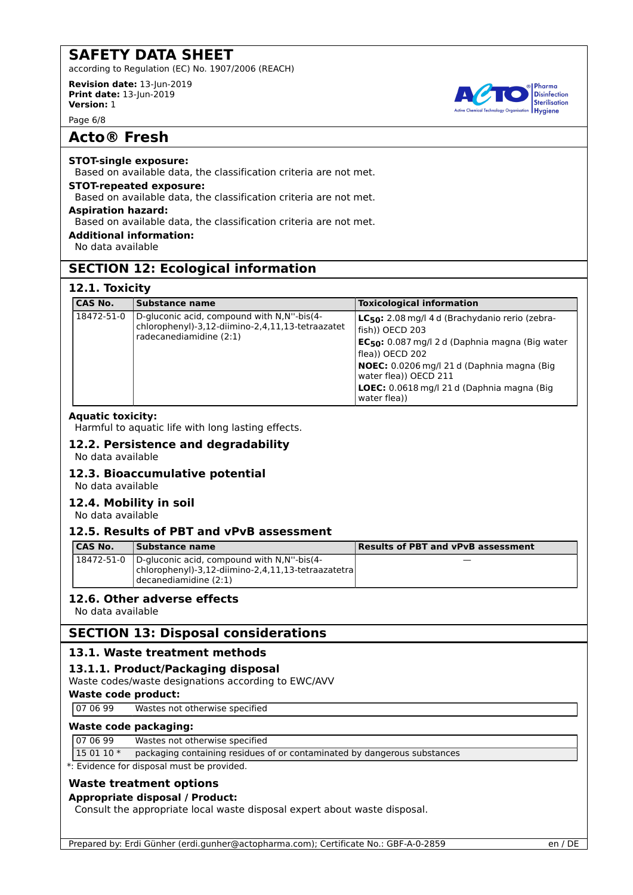according to Regulation (EC) No. 1907/2006 (REACH)

**Revision date:** 13-Jun-2019 **Print date:** 13-Jun-2019 **Version:** 1

Page 6/8

## **Acto® Fresh**

### **STOT-single exposure:**

Based on available data, the classification criteria are not met.

#### **STOT-repeated exposure:** Based on available data, the classification criteria are not met.

**Aspiration hazard:**

Based on available data, the classification criteria are not met.

### **Additional information:**

No data available

## **SECTION 12: Ecological information**

## **12.1. Toxicity**

| <b>CAS No.</b> | <b>Substance name</b>                                                                                                     | <b>Toxicological information</b>                                                                                                                                                                                                                                                                               |
|----------------|---------------------------------------------------------------------------------------------------------------------------|----------------------------------------------------------------------------------------------------------------------------------------------------------------------------------------------------------------------------------------------------------------------------------------------------------------|
| 18472-51-0     | D-gluconic acid, compound with N,N"-bis(4-<br>chlorophenyl)-3,12-diimino-2,4,11,13-tetraazatet<br>radecanediamidine (2:1) | LC <sub>50</sub> : 2.08 mg/l 4 d (Brachydanio rerio (zebra-<br>fish)) OECD 203<br>$EC_{50}$ : 0.087 mg/l 2 d (Daphnia magna (Big water<br>flea)) OECD 202<br><b>NOEC:</b> 0.0206 mg/l 21 d (Daphnia magna (Big)<br>water flea)) OECD 211<br><b>LOEC:</b> 0.0618 mg/l 21 d (Daphnia magna (Big)<br>water flea)) |

### **Aquatic toxicity:**

Harmful to aquatic life with long lasting effects.

# **12.2. Persistence and degradability**

No data available

## **12.3. Bioaccumulative potential**

No data available

### **12.4. Mobility in soil**

No data available

## **12.5. Results of PBT and vPvB assessment**

| CAS No. | Substance name                                                                                                                                                | <b>Results of PBT and vPvB assessment</b> |
|---------|---------------------------------------------------------------------------------------------------------------------------------------------------------------|-------------------------------------------|
|         | $18472 - 51 - 0$ D-gluconic acid, compound with N, N <sup>-1</sup> -bis(4-<br>$ $ chlorophenyl)-3,12-diimino-2,4,11,13-tetraazatetra<br>decanediamidine (2:1) |                                           |

### **12.6. Other adverse effects**

No data available

## **SECTION 13: Disposal considerations**

## **13.1. Waste treatment methods**

## **13.1.1. Product/Packaging disposal**

Waste codes/waste designations according to EWC/AVV

## **Waste code product:**

07 06 99 Wastes not otherwise specified

## **Waste code packaging:**

## 07 06 99 Wastes not otherwise specified

15 01 10 \* packaging containing residues of or contaminated by dangerous substances

\*: Evidence for disposal must be provided.

## **Waste treatment options**

## **Appropriate disposal / Product:**

Consult the appropriate local waste disposal expert about waste disposal.

Prepared by: Erdi Günher (erdi.gunher@actopharma.com); Certificate No.: GBF-A-0-2859 en / DE

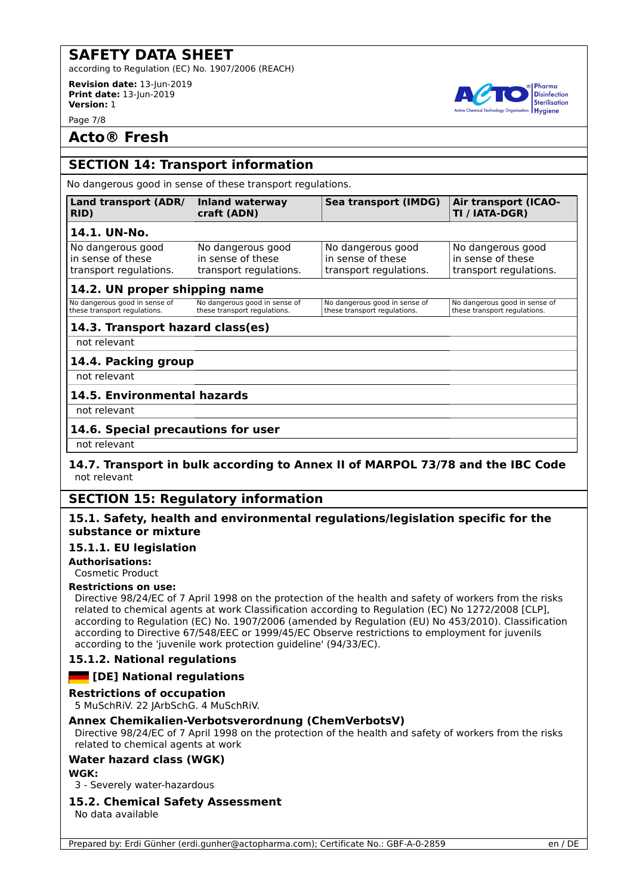according to Regulation (EC) No. 1907/2006 (REACH)

**Revision date:** 13-Jun-2019 **Print date:** 13-Jun-2019 **Version:** 1

Page 7/8

## **Acto® Fresh**

## **SECTION 14: Transport information**

No dangerous good in sense of these transport regulations.

#### **Land transport (ADR/ RID) Inland waterway craft (ADN) Sea transport (IMDG) Air transport (ICAO-14.1. UN-No.** No dangerous good in sense of these transport regulations. No dangerous good in sense of these transport regulations. No dangerous good in sense of these transport regulations.

## **14.2. UN proper shipping name**

| No dangerous good in sense of | No dangerous good in sense of | No dangerous good in sense of | No dangerous good in sense of |
|-------------------------------|-------------------------------|-------------------------------|-------------------------------|
| these transport regulations.  | these transport regulations.  | these transport regulations.  | these transport regulations.  |
|                               |                               |                               |                               |

## **14.3. Transport hazard class(es)**

not relevant

## **14.4. Packing group**

not relevant

## **14.5. Environmental hazards**

not relevant

### **14.6. Special precautions for user**

not relevant

### **14.7. Transport in bulk according to Annex II of MARPOL 73/78 and the IBC Code** not relevant

## **SECTION 15: Regulatory information**

### **15.1. Safety, health and environmental regulations/legislation specific for the substance or mixture**

### **15.1.1. EU legislation**

**Authorisations:**

Cosmetic Product

### **Restrictions on use:**

Directive 98/24/EC of 7 April 1998 on the protection of the health and safety of workers from the risks related to chemical agents at work Classification according to Regulation (EC) No 1272/2008 [CLP], according to Regulation (EC) No. 1907/2006 (amended by Regulation (EU) No 453/2010). Classification according to Directive 67/548/EEC or 1999/45/EC Observe restrictions to employment for juvenils according to the 'juvenile work protection guideline' (94/33/EC).

### **15.1.2. National regulations**

## **Example 1** [DE] National regulations

### **Restrictions of occupation**

5 MuSchRiV. 22 JArbSchG. 4 MuSchRiV.

### **Annex Chemikalien-Verbotsverordnung (ChemVerbotsV)**

Directive 98/24/EC of 7 April 1998 on the protection of the health and safety of workers from the risks related to chemical agents at work

### **Water hazard class (WGK)**

### **WGK:**

3 - Severely water-hazardous

### **15.2. Chemical Safety Assessment**

No data available



**TI / IATA-DGR)**

No dangerous good in sense of these transport regulations.